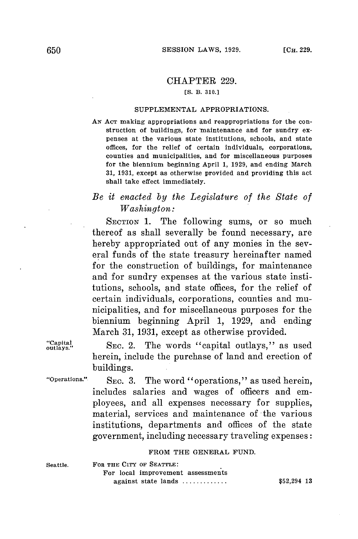# CHAPTER **229.**

# **[S. B. 310.]**

#### **SUPPLEMENTAL APPROPRIATIONS.**

**AN ACT** making appropriations and reappropriations for the construction of buildings, for maintenance and for sundry expenses at the various state institutions, schools, and state offices, for the relief of certain individuals, corporations, counties and municipalities, and for miscellaneous purposes for the biennium beginning April **1, 1929,** and ending March **31, 1931,** except as otherwise provided and providing this act shall take effect immediately.

# *Be it enacted by the Legislature of the State of Washington:*

SECTION 1. The following sums, or so much thereof as shall severally be found necessary, are hereby appropriated out of any monies in the several funds of the state treasury hereinafter named for the construction of buildings, for maintenance and for sundry expenses at the various state institutions, schools, and state offices, for the relief of certain individuals, corporations, counties and municipalities, and for miscellaneous purposes for the biennium beginning April **1, 1929,** and ending March **31, 1931,** except as otherwise provided.

"Capital SEC. 2. The words "capital outlays," as used herein, include the purchase of land and erection of buildings.

"Operations." SEC. 3. The word "operations," as used herein, includes salaries and wages of officers and employees, and all expenses necessary for supplies, material, services and maintenance of the various institutions, departments and offices of the state government, including necessary traveling expenses:

### **FROM THE GENERAL FUND.**

**Seattle. FOR THE CITY OF SEATTLE:** For local improvement assessments against state lands \$52,294 **13**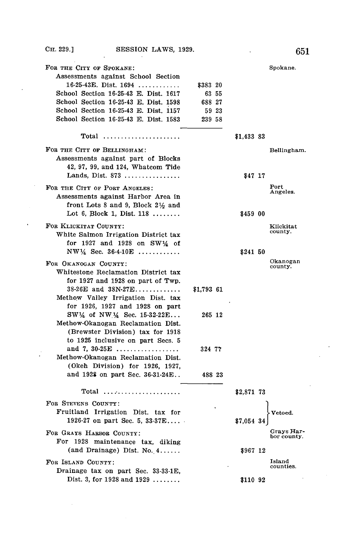$\overline{a}$ 

÷,

 $\ddot{\phantom{0}}$ 

| FOR THE CITY OF SPOKANE:                                                                                            |                   |            | Spokane.                  |
|---------------------------------------------------------------------------------------------------------------------|-------------------|------------|---------------------------|
| Assessments against School Section<br>$16-25-43E$ . Dist. $1694$                                                    |                   |            |                           |
| School Section 16-25-43 E. Dist. 1617                                                                               | \$383 20<br>63 55 |            |                           |
| School Section 16-25-43 E. Dist. 1598                                                                               | 688 27            |            |                           |
| School Section 16-25-43 E. Dist. 1157                                                                               | 59 23             |            |                           |
| School Section 16-25-43 E. Dist. 1583                                                                               | 239 58            |            |                           |
|                                                                                                                     |                   |            |                           |
|                                                                                                                     |                   | \$1,433 83 |                           |
| FOR THE CITY OF BELLINGHAM:<br>Assessments against part of Blocks<br>42, 97, 99, and 124, Whatcom Tide              |                   |            | Bellingham.               |
| Lands, Dist. 873                                                                                                    |                   | \$47 17    |                           |
| FOR THE CITY OF PORT ANGELES:<br>Assessments against Harbor Area in<br>front Lots 8 and 9, Block $2\frac{1}{2}$ and |                   |            | Port<br>Angeles.          |
| Lot 6, Block 1, Dist. $118$                                                                                         |                   | \$459 00   |                           |
| FOR KLICKITAT COUNTY:<br>White Salmon Irrigation District tax                                                       |                   |            | Klickitat<br>county.      |
| for 1927 and 1928 on SW14 of<br>$NW\frac{1}{4}$ Sec. 36-4-10E                                                       |                   | \$241 50   |                           |
| FOR OKANOGAN COUNTY:                                                                                                |                   |            | Okanogan                  |
| Whitestone Reclamation District tax                                                                                 |                   |            | county.                   |
| for 1927 and 1928 on part of Twp.                                                                                   |                   |            |                           |
| $38-26E$ and $38N-27E$                                                                                              | \$1,793 61        |            |                           |
| Methow Valley Irrigation Dist. tax                                                                                  |                   |            |                           |
| for 1926, 1927 and 1928 on part                                                                                     |                   |            |                           |
| $SW\frac{1}{4}$ of NW $\frac{1}{4}$ Sec. 15-32-22E                                                                  | 265 12            |            |                           |
| Methow-Okanogan Reclamation Dist.                                                                                   |                   |            |                           |
| (Brewster Division) tax for 1918                                                                                    |                   |            |                           |
| to 1925 inclusive on part Secs. 5<br>and 7, 30-25 $E$                                                               |                   |            |                           |
| Methow-Okanogan Reclamation Dist.                                                                                   | 324 77            |            |                           |
| (Okeh Division) for 1926, 1927,                                                                                     |                   |            |                           |
| and 1928 on part Sec. 36-31-24E                                                                                     | 488 23            |            |                           |
|                                                                                                                     |                   |            |                           |
|                                                                                                                     |                   | \$2,871 73 |                           |
| FOR STEVENS COUNTY:                                                                                                 |                   |            |                           |
| Fruitland Irrigation Dist. tax for                                                                                  |                   |            | Vetoed.                   |
| 1926-27 on part Sec. 5, $33-37E$                                                                                    |                   | \$7,054 34 |                           |
| FOR GRAYS HARBOR COUNTY:                                                                                            |                   |            | Grays Har-<br>bor county. |
| For 1928 maintenance tax, diking                                                                                    |                   |            |                           |
| $(and Drainage) Dist. No. 4. \ldots.$                                                                               |                   | \$967 12   |                           |
| FOR ISLAND COUNTY:                                                                                                  |                   |            | Island                    |
| Drainage tax on part Sec. 33-33-1E.                                                                                 |                   |            | counties.                 |
| Dist. 3, for $1928$ and $1929$                                                                                      |                   | \$110 92   |                           |
|                                                                                                                     |                   |            |                           |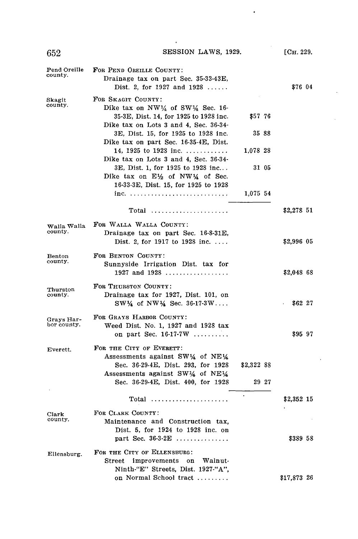$\cdot$ 

 $\hat{\mathbf{r}}$ 

| Pend Oreille<br>county.   | FOR PEND OREILLE COUNTY:<br>Drainage tax on part Sec. 35-33-43E,<br>Dist. 2, for 1927 and $1928$                                                                  |            |       | \$76 04     |  |
|---------------------------|-------------------------------------------------------------------------------------------------------------------------------------------------------------------|------------|-------|-------------|--|
| Skagit<br>county.         | FOR SKAGIT COUNTY:<br>Dike tax on $NW\frac{1}{4}$ of SW $\frac{1}{4}$ Sec. 16-<br>35-3E, Dist. 14, for 1925 to 1928 inc.<br>Dike tax on Lots 3 and 4, Sec. 36-34- | \$57 76    |       |             |  |
|                           | 3E, Dist. 15, for 1925 to 1928 inc.                                                                                                                               | 35 88      |       |             |  |
|                           | Dike tax on part Sec. 16-35-4E, Dist.<br>14, 1925 to 1928 inc. $\ldots \ldots \ldots$<br>Dike tax on Lots 3 and 4, Sec. 36-34-                                    | 1.078 28   |       |             |  |
|                           | 3E, Dist. 1, for 1925 to 1928 inc<br>Dike tax on $E\frac{1}{2}$ of NW $\frac{1}{4}$ of Sec.<br>16-33-3E, Dist. 15, for 1925 to 1928                               | 31 05      |       |             |  |
|                           |                                                                                                                                                                   | 1,075 54   |       |             |  |
|                           | $Total$                                                                                                                                                           |            |       | \$2,278 51  |  |
| Walla Walla<br>county.    | FOR WALLA WALLA COUNTY:<br>Drainage tax on part Sec. 16-8-31E,<br>Dist. 2, for 1917 to 1928 inc. $\dots$                                                          |            |       | \$2,996 05  |  |
| Benton<br>county.         | FOR BENTON COUNTY:<br>Sunnyside Irrigation Dist. tax for<br>1927 and $1928$                                                                                       |            |       | \$2,048 68  |  |
| Thurston<br>county.       | FOR THURSTON COUNTY:<br>Drainage tax for 1927, Dist. 101, on<br>$SW\frac{1}{4}$ of $NW\frac{1}{4}$ Sec. 36-17-3W                                                  |            |       | \$62 27     |  |
| Gravs Har-<br>bor county. | FOR GRAYS HARBOR COUNTY:<br>Weed Dist. No. 1, 1927 and 1928 tax<br>on part Sec. $16-17-7W$                                                                        |            |       | \$95 97     |  |
| Everett.                  | FOR THE CITY OF EVERETT:<br>Assessments against SW14 of NE14                                                                                                      |            |       |             |  |
|                           | Sec. 36-29-4E, Dist. 293, for 1928<br>Assessments against SW1/4 of NE1/4                                                                                          | \$2,322 88 |       |             |  |
|                           | Sec. 36-29-4E, Dist. 400, for 1928                                                                                                                                |            | 29 27 |             |  |
|                           | Total                                                                                                                                                             |            |       | \$2,352 15  |  |
| Clark<br>county.          | FOR CLARK COUNTY:<br>Maintenance and Construction tax,<br>Dist. 5, for 1924 to 1928 inc. on                                                                       |            |       |             |  |
|                           | part Sec. $36.3 \text{ } 2E$                                                                                                                                      |            |       | \$389 58    |  |
| Ellensburg.               | FOR THE CITY OF ELLENSBURG:<br>Street<br>improvements<br>on Walnut-<br>Ninth-"E" Streets, Dist. 1927-"A",                                                         |            |       |             |  |
|                           | on Normal School tract                                                                                                                                            |            |       | \$17,873 26 |  |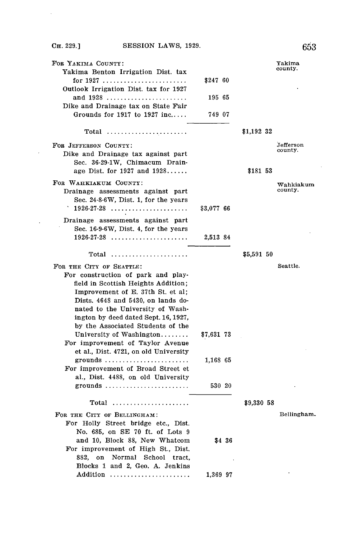Cn. **229.] SESSION** LAWS, **1929. 653**

 $\hat{\mathcal{A}}$ 

 $\sim 10$ 

 $\sim$ 

| county.<br>Yakima Benton Irrigation Dist. tax<br>\$247 60<br>Outlook Irrigation Dist. tax for 1927<br>and 1928<br>195 65<br>Dike and Drainage tax on State Fair<br>Grounds for 1917 to 1927 inc<br>749 07<br>\$1,192 32<br>Total<br>Jefferson<br>FOR JEFFERSON COUNTY:<br>county.<br>Dike and Drainage tax against part<br>Sec. 36-29-1W, Chimacum Drain-<br>age Dist. for $1927$ and $1928$<br>\$181 53<br>FOR WAHKIAKUM COUNTY:<br>Wahkiakum<br>county.<br>Drainage assessments against part<br>Sec. 24-8-6W, Dist. 1, for the years<br>$1926-27-28$<br>\$3,077 66<br>Drainage assessments against part<br>Sec. 16-9-6W, Dist. 4, for the years<br>$1926-27-28$<br>2,513 84<br>\$5,591 50<br>FOR THE CITY OF SEATTLE:<br>Seattle.<br>For construction of park and play-<br>field in Scottish Heights Addition;<br>Improvement of E. 37th St. et al;<br>Dists. 4648 and 5430, on lands do-<br>nated to the University of Wash-<br>ington by deed dated Sept. 16, 1927,<br>by the Associated Students of the<br>University of Washington<br>\$7,631 73<br>For improvement of Taylor Avenue<br>et al., Dist. 4721, on old University<br>grounds<br>1,168 65<br>For improvement of Broad Street et<br>al., Dist. 4488, on old University<br>530 20<br>grounds | FOR YAKIMA COUNTY:              |          |  | Yakima |
|-------------------------------------------------------------------------------------------------------------------------------------------------------------------------------------------------------------------------------------------------------------------------------------------------------------------------------------------------------------------------------------------------------------------------------------------------------------------------------------------------------------------------------------------------------------------------------------------------------------------------------------------------------------------------------------------------------------------------------------------------------------------------------------------------------------------------------------------------------------------------------------------------------------------------------------------------------------------------------------------------------------------------------------------------------------------------------------------------------------------------------------------------------------------------------------------------------------------------------------------------------------|---------------------------------|----------|--|--------|
|                                                                                                                                                                                                                                                                                                                                                                                                                                                                                                                                                                                                                                                                                                                                                                                                                                                                                                                                                                                                                                                                                                                                                                                                                                                             |                                 |          |  |        |
|                                                                                                                                                                                                                                                                                                                                                                                                                                                                                                                                                                                                                                                                                                                                                                                                                                                                                                                                                                                                                                                                                                                                                                                                                                                             |                                 |          |  |        |
|                                                                                                                                                                                                                                                                                                                                                                                                                                                                                                                                                                                                                                                                                                                                                                                                                                                                                                                                                                                                                                                                                                                                                                                                                                                             |                                 |          |  |        |
|                                                                                                                                                                                                                                                                                                                                                                                                                                                                                                                                                                                                                                                                                                                                                                                                                                                                                                                                                                                                                                                                                                                                                                                                                                                             |                                 |          |  |        |
|                                                                                                                                                                                                                                                                                                                                                                                                                                                                                                                                                                                                                                                                                                                                                                                                                                                                                                                                                                                                                                                                                                                                                                                                                                                             |                                 |          |  |        |
|                                                                                                                                                                                                                                                                                                                                                                                                                                                                                                                                                                                                                                                                                                                                                                                                                                                                                                                                                                                                                                                                                                                                                                                                                                                             |                                 |          |  |        |
|                                                                                                                                                                                                                                                                                                                                                                                                                                                                                                                                                                                                                                                                                                                                                                                                                                                                                                                                                                                                                                                                                                                                                                                                                                                             |                                 |          |  |        |
|                                                                                                                                                                                                                                                                                                                                                                                                                                                                                                                                                                                                                                                                                                                                                                                                                                                                                                                                                                                                                                                                                                                                                                                                                                                             |                                 |          |  |        |
|                                                                                                                                                                                                                                                                                                                                                                                                                                                                                                                                                                                                                                                                                                                                                                                                                                                                                                                                                                                                                                                                                                                                                                                                                                                             |                                 |          |  |        |
|                                                                                                                                                                                                                                                                                                                                                                                                                                                                                                                                                                                                                                                                                                                                                                                                                                                                                                                                                                                                                                                                                                                                                                                                                                                             |                                 |          |  |        |
|                                                                                                                                                                                                                                                                                                                                                                                                                                                                                                                                                                                                                                                                                                                                                                                                                                                                                                                                                                                                                                                                                                                                                                                                                                                             |                                 |          |  |        |
|                                                                                                                                                                                                                                                                                                                                                                                                                                                                                                                                                                                                                                                                                                                                                                                                                                                                                                                                                                                                                                                                                                                                                                                                                                                             |                                 |          |  |        |
|                                                                                                                                                                                                                                                                                                                                                                                                                                                                                                                                                                                                                                                                                                                                                                                                                                                                                                                                                                                                                                                                                                                                                                                                                                                             |                                 |          |  |        |
|                                                                                                                                                                                                                                                                                                                                                                                                                                                                                                                                                                                                                                                                                                                                                                                                                                                                                                                                                                                                                                                                                                                                                                                                                                                             |                                 |          |  |        |
|                                                                                                                                                                                                                                                                                                                                                                                                                                                                                                                                                                                                                                                                                                                                                                                                                                                                                                                                                                                                                                                                                                                                                                                                                                                             |                                 |          |  |        |
|                                                                                                                                                                                                                                                                                                                                                                                                                                                                                                                                                                                                                                                                                                                                                                                                                                                                                                                                                                                                                                                                                                                                                                                                                                                             |                                 |          |  |        |
|                                                                                                                                                                                                                                                                                                                                                                                                                                                                                                                                                                                                                                                                                                                                                                                                                                                                                                                                                                                                                                                                                                                                                                                                                                                             |                                 |          |  |        |
|                                                                                                                                                                                                                                                                                                                                                                                                                                                                                                                                                                                                                                                                                                                                                                                                                                                                                                                                                                                                                                                                                                                                                                                                                                                             |                                 |          |  |        |
|                                                                                                                                                                                                                                                                                                                                                                                                                                                                                                                                                                                                                                                                                                                                                                                                                                                                                                                                                                                                                                                                                                                                                                                                                                                             |                                 |          |  |        |
|                                                                                                                                                                                                                                                                                                                                                                                                                                                                                                                                                                                                                                                                                                                                                                                                                                                                                                                                                                                                                                                                                                                                                                                                                                                             |                                 |          |  |        |
|                                                                                                                                                                                                                                                                                                                                                                                                                                                                                                                                                                                                                                                                                                                                                                                                                                                                                                                                                                                                                                                                                                                                                                                                                                                             |                                 |          |  |        |
|                                                                                                                                                                                                                                                                                                                                                                                                                                                                                                                                                                                                                                                                                                                                                                                                                                                                                                                                                                                                                                                                                                                                                                                                                                                             |                                 |          |  |        |
|                                                                                                                                                                                                                                                                                                                                                                                                                                                                                                                                                                                                                                                                                                                                                                                                                                                                                                                                                                                                                                                                                                                                                                                                                                                             |                                 |          |  |        |
|                                                                                                                                                                                                                                                                                                                                                                                                                                                                                                                                                                                                                                                                                                                                                                                                                                                                                                                                                                                                                                                                                                                                                                                                                                                             |                                 |          |  |        |
|                                                                                                                                                                                                                                                                                                                                                                                                                                                                                                                                                                                                                                                                                                                                                                                                                                                                                                                                                                                                                                                                                                                                                                                                                                                             |                                 |          |  |        |
|                                                                                                                                                                                                                                                                                                                                                                                                                                                                                                                                                                                                                                                                                                                                                                                                                                                                                                                                                                                                                                                                                                                                                                                                                                                             |                                 |          |  |        |
|                                                                                                                                                                                                                                                                                                                                                                                                                                                                                                                                                                                                                                                                                                                                                                                                                                                                                                                                                                                                                                                                                                                                                                                                                                                             |                                 |          |  |        |
|                                                                                                                                                                                                                                                                                                                                                                                                                                                                                                                                                                                                                                                                                                                                                                                                                                                                                                                                                                                                                                                                                                                                                                                                                                                             |                                 |          |  |        |
|                                                                                                                                                                                                                                                                                                                                                                                                                                                                                                                                                                                                                                                                                                                                                                                                                                                                                                                                                                                                                                                                                                                                                                                                                                                             |                                 |          |  |        |
|                                                                                                                                                                                                                                                                                                                                                                                                                                                                                                                                                                                                                                                                                                                                                                                                                                                                                                                                                                                                                                                                                                                                                                                                                                                             |                                 |          |  |        |
|                                                                                                                                                                                                                                                                                                                                                                                                                                                                                                                                                                                                                                                                                                                                                                                                                                                                                                                                                                                                                                                                                                                                                                                                                                                             |                                 |          |  |        |
|                                                                                                                                                                                                                                                                                                                                                                                                                                                                                                                                                                                                                                                                                                                                                                                                                                                                                                                                                                                                                                                                                                                                                                                                                                                             |                                 |          |  |        |
|                                                                                                                                                                                                                                                                                                                                                                                                                                                                                                                                                                                                                                                                                                                                                                                                                                                                                                                                                                                                                                                                                                                                                                                                                                                             |                                 |          |  |        |
|                                                                                                                                                                                                                                                                                                                                                                                                                                                                                                                                                                                                                                                                                                                                                                                                                                                                                                                                                                                                                                                                                                                                                                                                                                                             |                                 |          |  |        |
|                                                                                                                                                                                                                                                                                                                                                                                                                                                                                                                                                                                                                                                                                                                                                                                                                                                                                                                                                                                                                                                                                                                                                                                                                                                             |                                 |          |  |        |
|                                                                                                                                                                                                                                                                                                                                                                                                                                                                                                                                                                                                                                                                                                                                                                                                                                                                                                                                                                                                                                                                                                                                                                                                                                                             |                                 |          |  |        |
|                                                                                                                                                                                                                                                                                                                                                                                                                                                                                                                                                                                                                                                                                                                                                                                                                                                                                                                                                                                                                                                                                                                                                                                                                                                             |                                 |          |  |        |
|                                                                                                                                                                                                                                                                                                                                                                                                                                                                                                                                                                                                                                                                                                                                                                                                                                                                                                                                                                                                                                                                                                                                                                                                                                                             |                                 |          |  |        |
|                                                                                                                                                                                                                                                                                                                                                                                                                                                                                                                                                                                                                                                                                                                                                                                                                                                                                                                                                                                                                                                                                                                                                                                                                                                             |                                 |          |  |        |
|                                                                                                                                                                                                                                                                                                                                                                                                                                                                                                                                                                                                                                                                                                                                                                                                                                                                                                                                                                                                                                                                                                                                                                                                                                                             |                                 |          |  |        |
| \$9,330 58                                                                                                                                                                                                                                                                                                                                                                                                                                                                                                                                                                                                                                                                                                                                                                                                                                                                                                                                                                                                                                                                                                                                                                                                                                                  |                                 |          |  |        |
|                                                                                                                                                                                                                                                                                                                                                                                                                                                                                                                                                                                                                                                                                                                                                                                                                                                                                                                                                                                                                                                                                                                                                                                                                                                             |                                 |          |  |        |
| FOR THE CITY OF BELLINGHAM:<br>Bellingham.                                                                                                                                                                                                                                                                                                                                                                                                                                                                                                                                                                                                                                                                                                                                                                                                                                                                                                                                                                                                                                                                                                                                                                                                                  |                                 |          |  |        |
| For Holly Street bridge etc., Dist.                                                                                                                                                                                                                                                                                                                                                                                                                                                                                                                                                                                                                                                                                                                                                                                                                                                                                                                                                                                                                                                                                                                                                                                                                         |                                 |          |  |        |
| No. 685, on SE 70 ft. of Lots 9                                                                                                                                                                                                                                                                                                                                                                                                                                                                                                                                                                                                                                                                                                                                                                                                                                                                                                                                                                                                                                                                                                                                                                                                                             |                                 |          |  |        |
| and 10, Block 88, New Whatcom<br>S4 36                                                                                                                                                                                                                                                                                                                                                                                                                                                                                                                                                                                                                                                                                                                                                                                                                                                                                                                                                                                                                                                                                                                                                                                                                      |                                 |          |  |        |
| For improvement of High St., Dist.                                                                                                                                                                                                                                                                                                                                                                                                                                                                                                                                                                                                                                                                                                                                                                                                                                                                                                                                                                                                                                                                                                                                                                                                                          |                                 |          |  |        |
|                                                                                                                                                                                                                                                                                                                                                                                                                                                                                                                                                                                                                                                                                                                                                                                                                                                                                                                                                                                                                                                                                                                                                                                                                                                             | 882.<br>on Normal School tract, |          |  |        |
|                                                                                                                                                                                                                                                                                                                                                                                                                                                                                                                                                                                                                                                                                                                                                                                                                                                                                                                                                                                                                                                                                                                                                                                                                                                             | Blocks 1 and 2, Geo. A. Jenkins |          |  |        |
|                                                                                                                                                                                                                                                                                                                                                                                                                                                                                                                                                                                                                                                                                                                                                                                                                                                                                                                                                                                                                                                                                                                                                                                                                                                             | Addition                        | 1,369 97 |  |        |
|                                                                                                                                                                                                                                                                                                                                                                                                                                                                                                                                                                                                                                                                                                                                                                                                                                                                                                                                                                                                                                                                                                                                                                                                                                                             |                                 |          |  |        |
|                                                                                                                                                                                                                                                                                                                                                                                                                                                                                                                                                                                                                                                                                                                                                                                                                                                                                                                                                                                                                                                                                                                                                                                                                                                             |                                 |          |  |        |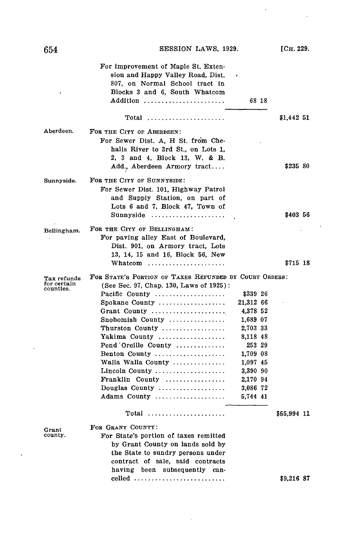$\overline{a}$ 

 $\mathcal{L}^{\pm}$ 

|                                         | For improvement of Maple St. Exten-<br>sion and Happy Valley Road, Dist.<br>807, on Normal School tract in<br>Blocks 3 and 6, South Whatcom<br>Addition                                                                                                                                                                                                                             | 68 18                                                                                                                                                   |                           |
|-----------------------------------------|-------------------------------------------------------------------------------------------------------------------------------------------------------------------------------------------------------------------------------------------------------------------------------------------------------------------------------------------------------------------------------------|---------------------------------------------------------------------------------------------------------------------------------------------------------|---------------------------|
|                                         | $Total$                                                                                                                                                                                                                                                                                                                                                                             |                                                                                                                                                         | \$1,442 51                |
| Aberdeen.                               | FOR THE CITY OF ABERDEEN:<br>For Sewer Dist. A, H St. from Che-<br>halis River to 3rd St., on Lots 1,<br>2, 3 and 4, Block 13, W. & B.<br>Add., Aberdeen Armory tract                                                                                                                                                                                                               |                                                                                                                                                         | \$235 80                  |
| Sunnyside.                              | FOR THE CITY OF SUNNYSIDE:<br>For Sewer Dist. 101, Highway Patrol<br>and Supply Station, on part of<br>Lots 6 and 7, Block 47, Town of<br>Sunnyside                                                                                                                                                                                                                                 |                                                                                                                                                         | \$403 56                  |
| Bellingham.                             | FOR THE CITY OF BELLINGHAM:<br>For paving alley East of Boulevard,<br>Dist. 901, on Armory tract, Lots<br>13, 14, 15 and 16, Block 56, New<br>Whatcom                                                                                                                                                                                                                               |                                                                                                                                                         | \$715 18                  |
| Tax refunds<br>for certain<br>counties. | FOR STATE'S PORTION OF TAXES REFUNDED BY COURT ORDERS:<br>(See Sec. 97, Chap. 130, Laws of 1925):<br>Pacific County<br>Spokane County<br>Grant County<br>Snohomish County<br>Thurston County<br>Yakima County<br>Pend Oreille County<br>Benton County<br>Walla Walla County<br>Lincoln County<br>Franklin County<br>Douglas County $\dots\dots\dots\dots\dots\dots$<br>Adams County | \$339 26<br>21,312 66<br>4,378 52<br>1,689 07<br>2,703 33<br>8,118 48<br>253 29<br>1,709 08<br>1,097 45<br>3,390 90<br>2,170 94<br>3,086 72<br>5,744 41 |                           |
| Grant<br>county.                        | Total<br>FOR GRANT COUNTY:<br>For State's portion of taxes remitted<br>by Grant County on lands sold by<br>the State to sundry persons under<br>contract of sale, said contracts<br>having been subsequently<br>can-<br>celled                                                                                                                                                      |                                                                                                                                                         | \$55,994 11<br>\$9,216 87 |

 $\bar{z}$ 

 $\ddot{\phantom{a}}$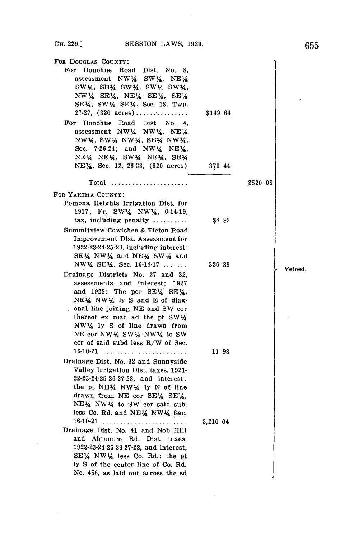| FOR DOUGLAS COUNTY:                                                                                                                                                                                                                               |          |          |         |
|---------------------------------------------------------------------------------------------------------------------------------------------------------------------------------------------------------------------------------------------------|----------|----------|---------|
| For Donohue Road Dist. No. 8,<br>assessment NW14 SW14, NE14<br>SW14, SE14 SW14, SW14 SW14,<br>$NW\frac{1}{4}$ SE $\frac{1}{4}$ , NE $\frac{1}{4}$ SE $\frac{1}{4}$ , SE $\frac{1}{4}$                                                             |          |          |         |
| $SE\frac{1}{4}$ , SW $\frac{1}{4}$ , SE $\frac{1}{4}$ , Sec. 18, Twp.                                                                                                                                                                             |          |          |         |
| 27-27, $(320 \text{ acres}) \dots \dots \dots \dots$                                                                                                                                                                                              | \$149 64 |          |         |
| For Donohue Road Dist. No. 4.<br>assessment NW14 NW14, NE14<br>NW14, SW14 NW14, SE14 NW14,<br>Sec. $7-26-24$ ; and NW $\frac{1}{4}$ NE $\frac{1}{4}$ ,<br>$NE\frac{1}{4}$ NE $\frac{1}{4}$ , SW $\frac{1}{4}$ NE $\frac{1}{4}$ , SE $\frac{1}{4}$ |          |          |         |
| NE\, Sec. 12, 26-23, (320 acres)                                                                                                                                                                                                                  | 370 44   |          |         |
| Total                                                                                                                                                                                                                                             |          | \$520 08 |         |
| FOR YAKIMA COUNTY:                                                                                                                                                                                                                                |          |          |         |
| Pomona Heights Irrigation Dist. for<br>1917; Fr. SW14 NW14, 6-14-19,                                                                                                                                                                              |          |          |         |
| $\text{tax}, \text{ including penalty} \dots \dots$                                                                                                                                                                                               | \$483    |          |         |
| Summitview Cowichee & Tieton Road                                                                                                                                                                                                                 |          |          |         |
| Improvement Dist. Assessment for                                                                                                                                                                                                                  |          |          |         |
| 1922-23-24-25-26, including interest:                                                                                                                                                                                                             |          |          |         |
| SE14 NW14 and NE14 SW14 and                                                                                                                                                                                                                       |          |          |         |
| $NW\frac{1}{4}$ SE $\frac{1}{4}$ , Sec. 16-14-17                                                                                                                                                                                                  | 326 38   |          | Vetoed. |
| Drainage Districts No. 27 and 32,<br>assessments and interest;<br>1927<br>and 1928: The por SE\ SE\.<br>NEX NWX ly S and E of diag-                                                                                                               |          |          |         |
| . onal line joining NE and SW cor<br>thereof ex road ad the pt SW14<br>NW1/4 ly S of line drawn from                                                                                                                                              |          |          |         |
| NE cor NW14 SW14 NW14 to SW<br>cor of said subd less R/W of Sec.                                                                                                                                                                                  |          |          |         |
| $16-10-21$                                                                                                                                                                                                                                        | 11 98    |          |         |
| Drainage Dist. No. 32 and Sunnyside                                                                                                                                                                                                               |          |          |         |
| Valley Irrigation Dist. taxes, 1921-<br>22-23-24-25-26-27-28, and interest:                                                                                                                                                                       |          |          |         |
| the pt NE14 NW14 ly N of line<br>drawn from NE cor SE14 SE14,                                                                                                                                                                                     |          |          |         |
| $NE\frac{1}{4}$ NW $\frac{1}{4}$ to SW cor said sub.                                                                                                                                                                                              |          |          |         |
| less Co. Rd. and NE14 NW14 Sec.                                                                                                                                                                                                                   |          |          |         |
| $16-10-21$                                                                                                                                                                                                                                        | 3,210 04 |          |         |
| Drainage Dist. No. 41 and Nob Hill                                                                                                                                                                                                                |          |          |         |
| and Ahtanum Rd. Dist. taxes,                                                                                                                                                                                                                      |          |          |         |
| 1922-23-24-25-26-27-28, and interest,                                                                                                                                                                                                             |          |          |         |
| $SE\frac{1}{4}$ NW $\frac{1}{4}$ less Co. Rd.: the pt                                                                                                                                                                                             |          |          |         |
| ly S of the center line of Co. Rd.<br>No. 456, as laid out across the sd                                                                                                                                                                          |          |          |         |
|                                                                                                                                                                                                                                                   |          |          |         |

 $\sim 10^{-1}$ 

 $\mathcal{L}_{\text{max}}$ 

 $\sim 10^{-11}$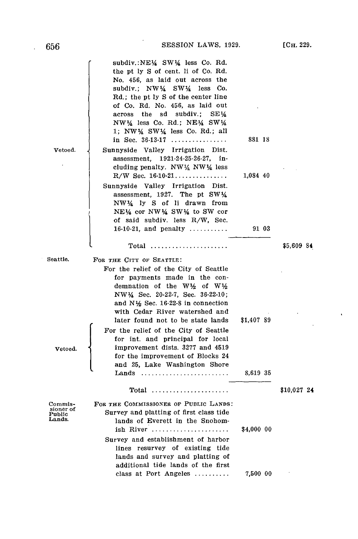| 656                                      | SESSION LAWS, 1929.                                                                                                                                                                                                                                                                                                                                                                                      |            | [Сн. 229.   |
|------------------------------------------|----------------------------------------------------------------------------------------------------------------------------------------------------------------------------------------------------------------------------------------------------------------------------------------------------------------------------------------------------------------------------------------------------------|------------|-------------|
|                                          | subdiv.:NE\{4 SW\{4 less Co. Rd.<br>the pt ly S of cent. Ii of Co. Rd.<br>No. 456, as laid out across the<br>subdiv.; $NW\frac{1}{4}$ SW $\frac{1}{4}$ less Co.<br>Rd.; the pt ly S of the center line<br>of Co. Rd. No. 456, as laid out<br>across the sd subdiv.;<br>SE ¼<br>$NW\frac{1}{4}$ less Co. Rd.; NE $\frac{1}{4}$ SW $\frac{1}{4}$<br>1; NW $\frac{1}{4}$ SW $\frac{1}{4}$ less Co. Rd.; all |            |             |
| Vetoed.                                  | in Sec. $36-13-17$<br>Sunnyside Valley Irrigation Dist.<br>assessment, 1921-24-25-26-27, in-<br>cluding penalty. NW $\frac{1}{4}$ NW $\frac{1}{4}$ less                                                                                                                                                                                                                                                  | 881 18     |             |
|                                          | $R/W$ Sec. 16-10-21<br>Sunnyside Valley Irrigation Dist.<br>assessment, 1927. The pt $SW4$<br>NW½ ly S of li drawn from<br>$NE\frac{1}{4}$ cor NW $\frac{1}{4}$ SW $\frac{1}{4}$ to SW cor<br>of said subdiv. less R/W, Sec.                                                                                                                                                                             | 1,084 40   |             |
|                                          | 16-10-21, and penalty $\ldots$                                                                                                                                                                                                                                                                                                                                                                           | 91 03      | \$5,609 84  |
| Seattle.                                 | FOR THE CITY OF SEATTLE:<br>For the relief of the City of Seattle<br>for payments made in the con-<br>demnation of the W1/2 of W1/2<br>NW $\frac{1}{4}$ Sec. 20-22-7, Sec. 36-22-10;<br>and $N\frac{1}{2}$ Sec. 16-22-8 in connection<br>with Cedar River watershed and<br>later found not to be state lands<br>For the relief of the City of Seattle                                                    | \$1,407 89 |             |
| Vetoed.                                  | for int. and principal for local<br>improvement dists. 3277 and 4519<br>for the improvement of Blocks 24<br>and 25, Lake Washington Shore<br>Lands                                                                                                                                                                                                                                                       | 8,619 35   |             |
|                                          |                                                                                                                                                                                                                                                                                                                                                                                                          |            | \$10,027 24 |
| Commis-<br>sioner of<br>Public<br>Lands. | FOR THE COMMISSIONER OF PUBLIC LANDS:<br>Survey and platting of first class tide<br>lands of Everett in the Snohom-<br>ish River<br>Survey and establishment of harbor<br>lines resurvey of existing tide<br>lands and survey and platting of<br>additional tide lands of the first                                                                                                                      | \$4,000 00 |             |
|                                          | class at Port Angeles                                                                                                                                                                                                                                                                                                                                                                                    | 7,500 00   |             |

 $\sim 10^{-11}$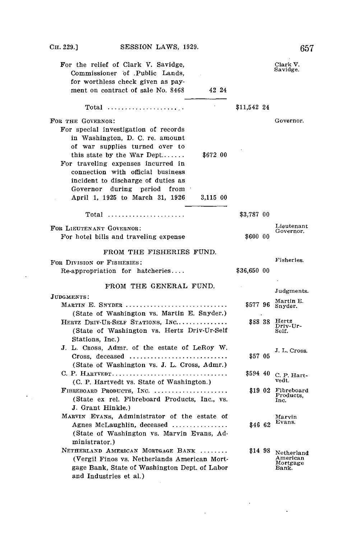| For the relief of Clark V. Savidge,<br>Commissioner of Public Lands,<br>for worthless check given as pay-<br>ment on contract of sale No. 8468<br>42 24                                                                                                                                                                                                       |             | Clark V.<br>Savidge.                        |
|---------------------------------------------------------------------------------------------------------------------------------------------------------------------------------------------------------------------------------------------------------------------------------------------------------------------------------------------------------------|-------------|---------------------------------------------|
| $Total$                                                                                                                                                                                                                                                                                                                                                       | \$11.542 24 |                                             |
| FOR THE GOVERNOR:                                                                                                                                                                                                                                                                                                                                             |             | Governor.                                   |
| For special investigation of records<br>in Washington, D. C. re. amount<br>of war supplies turned over to<br>this state by the War Dept<br>\$672 00<br>For traveling expenses incurred in<br>connection with official business<br>incident to discharge of duties as<br>Governor<br>during<br>period<br>from<br>April 1, 1925 to March 31, 1926<br>$3,115$ 00 |             |                                             |
|                                                                                                                                                                                                                                                                                                                                                               |             |                                             |
| $Total$                                                                                                                                                                                                                                                                                                                                                       | \$3,787 00  |                                             |
| FOR LIEUTENANT GOVERNOR:<br>For hotel bills and traveling expense                                                                                                                                                                                                                                                                                             | \$600 00    | Lieutenant<br>Governor.                     |
| FROM THE FISHERIES FUND.                                                                                                                                                                                                                                                                                                                                      |             |                                             |
| FOR DIVISION OF FISHERIES:                                                                                                                                                                                                                                                                                                                                    |             | Fisheries.                                  |
| Re-appropriation for hatcheries                                                                                                                                                                                                                                                                                                                               | \$36,650 00 |                                             |
| FROM THE GENERAL FUND.                                                                                                                                                                                                                                                                                                                                        |             |                                             |
| JUDGMENTS:                                                                                                                                                                                                                                                                                                                                                    |             | Judgments.                                  |
| MARTIN E. SNYDER<br>(State of Washington vs. Martin E. Snyder.)                                                                                                                                                                                                                                                                                               | \$57796     | Martin E.<br>Snyder.                        |
| HERTZ DRIV-UR-SELF STATIONS, INC<br>(State of Washington vs. Hertz Driv-Ur-Self<br>Stations, Inc.)                                                                                                                                                                                                                                                            | \$88 38     | Hertz<br>Driv-Ur-<br>Self.                  |
| J. L. Cross, Admr. of the estate of LeRoy W.                                                                                                                                                                                                                                                                                                                  |             | J. L. Cross.                                |
|                                                                                                                                                                                                                                                                                                                                                               | \$57 05     |                                             |
| (State of Washington vs. J. L. Cross, Admr.)                                                                                                                                                                                                                                                                                                                  |             |                                             |
| C. P. HARTVEDT<br>(C. P. Hartvedt vs. State of Washington.)                                                                                                                                                                                                                                                                                                   | \$594 40    | C. P. Hart-<br>vedt.                        |
| FIBREBOARD PRODUCTS, INC.<br>(State ex rel. Fibreboard Products, Inc., vs.                                                                                                                                                                                                                                                                                    | \$19 02     | Fibreboard<br>Products,<br>Inc.             |
| J. Grant Hinkle.)                                                                                                                                                                                                                                                                                                                                             |             |                                             |
| MARVIN EVANS, Administrator of the estate of<br>Agnes McLaughlin, deceased<br>(State of Washington vs. Marvin Evans, Ad-                                                                                                                                                                                                                                      | \$46 62     | Marvin<br>Evans.                            |
| ministrator.)<br>NETHERLAND AMERICAN MORTGAGE BANK                                                                                                                                                                                                                                                                                                            |             |                                             |
| (Vergil Finos vs. Netherlands American Mort-<br>gage Bank, State of Washington Dept. of Labor<br>and Industries et al.)                                                                                                                                                                                                                                       | \$14 98     | Netherland<br>American<br>Mortgage<br>Bank. |

 $\sim 10^{-1}$ 

 $\Delta \sim 1$ 

 $\ddot{\phantom{a}}$ 

 $\overline{\phantom{a}}$ 

 $\epsilon_{\rm{in}}$ 

**657**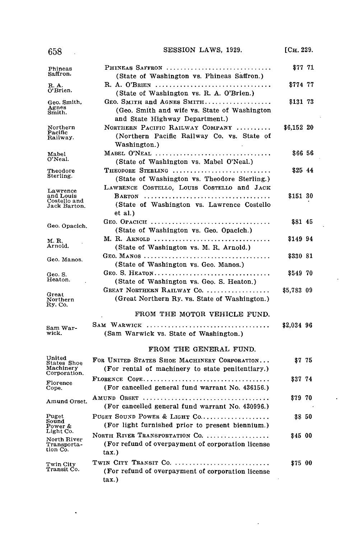| 658                                                   | SESSION LAWS, 1929.                                                                                             | [CH. 229.  |
|-------------------------------------------------------|-----------------------------------------------------------------------------------------------------------------|------------|
| Phineas<br>Saffron.                                   | PHINEAS SAFFRON<br>(State of Washington vs. Phineas Saffron.)                                                   | \$77 71    |
| R. A.<br>O'Brien.                                     | R. A. O'BRIEN<br>(State of Washington vs. R. A. O'Brien.)                                                       | \$774 77   |
| Geo. Smith,<br>Agnes<br>Smith.                        | GEO. SMITH and AGNES SMITH<br>(Geo. Smith and wife vs. State of Washington<br>and State Highway Department.)    | \$131 73   |
| Northern<br>Pacific<br>Railway.                       | NORTHERN PACIFIC RAILWAY COMPANY<br>(Northern Pacific Railway Co. vs. State of<br>Washington.)                  | \$6,152 20 |
| Mabel<br>O'Neal.                                      | MABEL O'NEAL<br>(State of Washington vs. Mabel O'Neal.)                                                         | \$66 56    |
| Theodore<br>Sterling.                                 | THEODORE STERLING<br>(State of Washington vs. Theodore Sterling.)<br>LAWRENCE COSTELLO, LOUIS COSTELLO and JACK | \$2544     |
| Lawrence<br>and Louis<br>Costello and<br>Jack Barton. | (State of Washington vs. Lawrence Costello)<br>et al.)                                                          | \$151 30   |
| Geo. Opacich.                                         | (State of Washington vs. Geo. Opacich.)                                                                         | \$81 45    |
| M. R.<br>Arnold.                                      | M. R. ARNOLD<br>(State of Washington vs. M. R. Arnold.)                                                         | \$149 94   |
| Geo. Manos.                                           | (State of Washington vs. Geo. Manos.)                                                                           | \$330 81   |
| Geo. S.<br>Heaton.                                    | GEO. S. HEATON<br>(State of Washington vs. Geo. S. Heaton.)                                                     | \$54970    |
| Great<br>Northern<br>Ry. Co.                          | GREAT NORTHERN RAILWAY Co.<br>(Great Northern Ry. vs. State of Washington.)                                     | \$5,783 09 |
|                                                       | FROM THE MOTOR VEHICLE FUND.                                                                                    |            |
| Sam War-<br>wick.                                     | SAM WARWICK<br>(Sam Warwick vs. State of Washington.)                                                           | \$2,034 96 |
|                                                       | FROM THE GENERAL FUND.                                                                                          |            |
| United<br>States Shoe<br>Machinery<br>Corporation.    | FOR UNITED STATES SHOE MACHINERY CORPORATION<br>(For rental of machinery to state penitentiary.)                | \$775      |
| Florence<br>Cope.                                     | (For cancelled general fund warrant No. 436156.)                                                                | \$37 74    |
| Amund Orset.                                          | AMUND ORSET<br>(For cancelled general fund warrant No. 430996.)                                                 | \$7970     |
| Puget<br>Sound<br>Power &                             | PUGET SOUND POWER & LIGHT CO<br>(For light furnished prior to present biennium.)                                | \$8 50     |
| Light Co.<br>North River<br>Transporta-<br>tion Co.   | NORTH RIVER TRANSPORTATION CO.<br>(For refund of overpayment of corporation license<br>tax.)                    | \$45 00    |
| Twin City<br>Transit Co.                              | TWIN CITY TRANSIT Co.<br>(For refund of overpayment of corporation license<br>tax.)                             | \$75 00    |

 $\ddot{\phantom{1}}$ 

l.

 $\ddot{\phantom{0}}$ 

l,

 $\sim$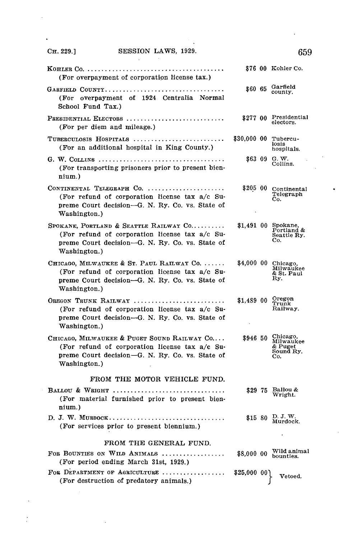l,

Ì

 $\ddot{\phantom{0}}$ 

| (For overpayment of corporation license tax.)                                                                                                                    |              | \$76 00 Kohler Co.                                   |
|------------------------------------------------------------------------------------------------------------------------------------------------------------------|--------------|------------------------------------------------------|
| GARFIELD COUNTY<br>(For overpayment of 1924 Centralia Normal<br>School Fund Tax.)                                                                                | \$60 65      | Garfield<br>county.                                  |
| PRESIDENTIAL ELECTORS<br>(For per diem and mileage.)                                                                                                             | \$277 00     | Presidential<br>electors.                            |
| TUBERCULOSIS HOSPITALS<br>(For an additional hospital in King County.)                                                                                           | \$30,000 00  | Tubercu-<br>losis<br>hospitals.                      |
| G. W. COLLINS<br>(For transporting prisoners prior to present bien-<br>nium.)                                                                                    | \$63 09      | $G.$ $W.$<br>Collins.                                |
| CONTINENTAL TELEGRAPH $Co.$<br>(For refund of corporation license tax a/c Su-<br>preme Court decision—G. N. Ry. Co. vs. State of<br>Washington.)                 | \$205 00     | Continental<br>Telegraph<br>Co.                      |
| SPOKANE, PORTLAND & SEATTLE RAILWAY CO<br>(For refund of corporation license tax a/c Su-<br>preme Court decision-G. N. Ry. Co. vs. State of<br>Washington.)      | \$1,491 00   | Spokane,<br>Portland &<br>Seattle Ry.<br>Co.         |
| CHICAGO, MILWAUKEE & ST. PAUL RAILWAY CO.<br>(For refund of corporation license tax a/c Su-<br>preme Court decision-G. N. Ry. Co. vs. State of<br>Washington.)   | \$4,000 00   | Chicago,<br>Milwaukee<br>& St. Paul<br>Ry.           |
| OREGON TRUNK RAILWAY<br>(For refund of corporation license tax a/c Su-<br>preme Court decision—G. N. Ry. Co. vs. State of<br>Washington.)                        | \$1,489 00   | Oregon<br>Trunk<br>Railway.                          |
| CHICAGO, MILWAUKEE & PUGET SOUND RAILWAY CO<br>(For refund of corporation license tax a/c Su-<br>preme Court decision-G. N. Ry. Co. vs. State of<br>Washington.) | \$946 50     | Chicago,<br>Milwaukee<br>& Puget<br>Sound Ry.<br>Co. |
| FROM THE MOTOR VEHICLE FUND.<br>BALLOU & WRIGHT<br>(For material furnished prior to present bien-                                                                | \$29 75      | Ballou &<br>Wright.                                  |
| nium.)<br>(For services prior to present biennium.)                                                                                                              | \$15 80      | D. J. W.<br>Murdock.                                 |
| FROM THE GENERAL FUND.                                                                                                                                           |              |                                                      |
| FOR BOUNTIES ON WILD ANIMALS<br>. <i>.</i> .<br>(For period ending March 31st, 1929.)                                                                            | \$8,000 00   | Wild animal<br>bounties.                             |
| FOR DEPARTMENT OF AGRICULTURE<br>(For destruction of predatory animals.)                                                                                         | \$25,000 00] | Vetoed.                                              |

 $\ddot{\phantom{0}}$ 

 $\left\{\n \begin{array}{c}\n \text{Vetoed.}\n \end{array}\n\right.$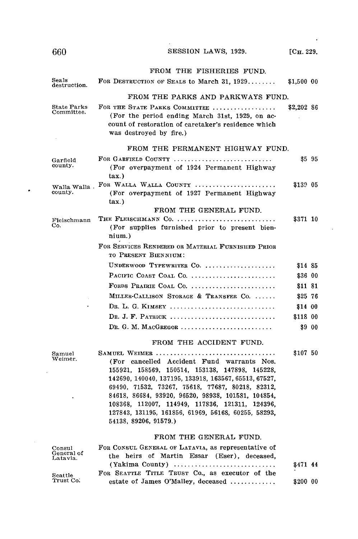| 660                              | SESSION LAWS, 1929.                                                                                                                                                                                                                                                                                                                                                                                                  | [CH. 229]  |        |
|----------------------------------|----------------------------------------------------------------------------------------------------------------------------------------------------------------------------------------------------------------------------------------------------------------------------------------------------------------------------------------------------------------------------------------------------------------------|------------|--------|
|                                  | FROM THE FISHERIES FUND.                                                                                                                                                                                                                                                                                                                                                                                             |            |        |
| Seals<br>destruction.            | FOR DESTRUCTION OF SEALS to March 31, $1929$                                                                                                                                                                                                                                                                                                                                                                         | \$1,500 00 |        |
|                                  | FROM THE PARKS AND PARKWAYS FUND.                                                                                                                                                                                                                                                                                                                                                                                    |            |        |
| <b>State Parks</b><br>Committee. | FOR THE STATE PARKS COMMITTEE<br>(For the period ending March 31st, 1929, on ac-<br>count of restoration of caretaker's residence which<br>was destroyed by fire.)                                                                                                                                                                                                                                                   | \$2,202 86 |        |
|                                  | FROM THE PERMANENT HIGHWAY FUND.                                                                                                                                                                                                                                                                                                                                                                                     |            |        |
| Garfield<br>county.              | FOR GARFIELD COUNTY<br>(For overpayment of 1924 Permanent Highway<br>tax.)                                                                                                                                                                                                                                                                                                                                           |            | \$5 95 |
| Walla Walla .<br>county.         | FOR WALLA WALLA COUNTY<br>(For overpayment of 1927 Permanent Highway)<br>$\tan$ .                                                                                                                                                                                                                                                                                                                                    | \$139 05   |        |
|                                  | FROM THE GENERAL FUND.                                                                                                                                                                                                                                                                                                                                                                                               |            |        |
| Fleischmann<br>Co.               | THE FLEISCHMANN Co.<br>(For supplies furnished prior to present bien-<br>nium.)                                                                                                                                                                                                                                                                                                                                      | \$371 10   |        |
|                                  | FOR SERVICES RENDERED OR MATERIAL FURNISHED PRIOR<br>TO PRESENT BIENNIUM:                                                                                                                                                                                                                                                                                                                                            |            |        |
|                                  | UNDERWOOD TYPEWRITER CO.                                                                                                                                                                                                                                                                                                                                                                                             | \$14 85    |        |
|                                  | PACIFIC COAST COAL CO.                                                                                                                                                                                                                                                                                                                                                                                               | \$36 00    |        |
|                                  | FORDS PRAIRIE COAL CO.                                                                                                                                                                                                                                                                                                                                                                                               | \$11 81    |        |
|                                  | MILLER-CALLISON STORAGE & TRANSFER CO.                                                                                                                                                                                                                                                                                                                                                                               | \$2576     |        |
|                                  | DR. L. G. KIMSEY                                                                                                                                                                                                                                                                                                                                                                                                     | \$14 00    |        |
|                                  | DR. J. F. PATRICK                                                                                                                                                                                                                                                                                                                                                                                                    | \$118 00   |        |
|                                  | DR. G. M. MACGREGOR                                                                                                                                                                                                                                                                                                                                                                                                  |            | \$9 00 |
|                                  | FROM THE ACCIDENT FUND.                                                                                                                                                                                                                                                                                                                                                                                              |            |        |
| Samuel<br>Weimer.                | SAMUEL WEIMER<br>(For cancelled Accident Fund warrants Nos.<br>155921, 158569, 150514, 153138, 147898, 145228,<br>142690, 140040, 137195, 133918, 163567, 65513, 67527,<br>69490, 71532, 73267, 75618, 77687, 80218, 82312,<br>84618, 86684, 93920, 96520, 98938, 101581, 104854,<br>108368, 112007, 114949, 117836, 121311, 124396,<br>127843, 131195, 161856, 61969, 56168, 60255, 58293,<br>54138, 89206, 91579.) | \$107 50   |        |
|                                  | FROM THE GENERAL FUND.                                                                                                                                                                                                                                                                                                                                                                                               |            |        |
| Consul<br>General of<br>Latavia. | FOR CONSUL GENERAL OF LATAVIA, as representative of<br>the heirs of Martin Essar (Eser), deceased,<br>$(Yakima$ County)                                                                                                                                                                                                                                                                                              | \$471 44   |        |
| Seattle<br>Trust Co.             | FOR SEATTLE TITLE TRUST Co., as executor of the<br>estate of James O'Malley, deceased                                                                                                                                                                                                                                                                                                                                | \$200 AO   |        |
|                                  |                                                                                                                                                                                                                                                                                                                                                                                                                      |            |        |

J.

 $\ddot{\phantom{1}}$ 

estate of James O'Malley, deceased **...............** \$200 00

 $\bullet$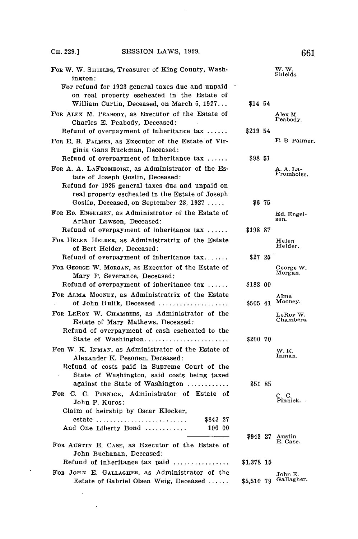$\sim 10^{-11}$ 

 $\mathcal{L}^{\text{max}}$  .

 $\sim 10^6$ 

| For W. W. SHIELDS, Treasurer of King County, Wash-<br>ington:                                                                          |            | $W, W$ .<br>Shields.    |
|----------------------------------------------------------------------------------------------------------------------------------------|------------|-------------------------|
| For refund for 1923 general taxes due and unpaid<br>on real property escheated in the Estate of                                        |            |                         |
| William Curtin, Deceased, on March 5, 1927<br>FOR ALEX M. PEABODY, as Executor of the Estate of<br>Charles E. Peabody, Deceased:       | \$14 54    | Alex M.<br>Peabody.     |
| Refund of overpayment of inheritance $\alpha x$                                                                                        | \$21954    |                         |
| FOR E. B. PALMER, as Executor of the Estate of Vir-<br>ginia Gans Ruckman. Deceased:                                                   |            | E. B. Palmer.           |
| Refund of overpayment of inheritance tax                                                                                               | \$98 51    |                         |
| FOR A. A. LAFROMBOISE, as Administrator of the Es-                                                                                     |            | A. A. La-<br>Fromboise. |
| tate of Joseph Goslin, Deceased:<br>Refund for 1925 general taxes due and unpaid on<br>real property escheated in the Estate of Joseph |            |                         |
| Goslin, Deceased, on September 28, 1927                                                                                                | S6 75      |                         |
| For Ep. Engelsen, as Administrator of the Estate of<br>Arthur Lawson, Deceased:                                                        |            | Ed. Engel-<br>sen.      |
| Refund of overpayment of inheritance tax                                                                                               | \$19887    |                         |
| For HELEN HELDER, as Administratrix of the Estate<br>of Bert Helder, Deceased:                                                         |            | Helen<br>Helder.        |
| Refund of overpayment of inheritance $tax$                                                                                             | \$27 25    |                         |
| FOR GEORGE W. MORGAN, as Executor of the Estate of<br>Mary F. Severance, Deceased:                                                     |            | George W.<br>Morgan.    |
| Refund of overpayment of inheritance $\alpha x$                                                                                        | \$188 00   |                         |
| FOR ALMA MOONEY, as Administratrix of the Estate<br>of John Hulik, Deceased                                                            | \$505 41   | Alma<br>Mooney.         |
| FOR LEROY W. CHAMBERS, as Administrator of the<br>Estate of Mary Mathews, Deceased:                                                    |            | LeRoy W.<br>Chambers.   |
| Refund of overpayment of cash escheated to the<br>State of Washington                                                                  | \$200 70   |                         |
| For W. K. INMAN, as Administrator of the Estate of                                                                                     |            | W.K.<br>Inman.          |
| Alexander K. Pesonen, Deceased:<br>Refund of costs paid in Supreme Court of the                                                        |            |                         |
| State of Washington, said costs being taxed                                                                                            |            |                         |
| against the State of Washington                                                                                                        | \$51 85    |                         |
| For C. C. PINNICK, Administrator of Estate of<br>John P. Kuros:                                                                        |            | C. C.<br>Pinnick.       |
| Claim of heirship by Oscar Klocker,                                                                                                    |            |                         |
| \$843 27<br>estate                                                                                                                     |            |                         |
| And One Liberty Bond<br>100 00                                                                                                         | 894327     | Austin                  |
| FOR AUSTIN E. CASE, as Executor of the Estate of<br>John Buchanan, Deceased:                                                           |            | E. Case.                |
| Refund of inheritance $\max$ paid $\ldots$                                                                                             | \$1,378 15 |                         |
| FOR JOHN E. GALLAGHER, as Administrator of the<br>Estate of Gabriel Olsen Weig, Deceased                                               | \$5.510 79 | John E.<br>Gallagher.   |
| $\ddot{\phantom{0}}$                                                                                                                   |            |                         |

**661**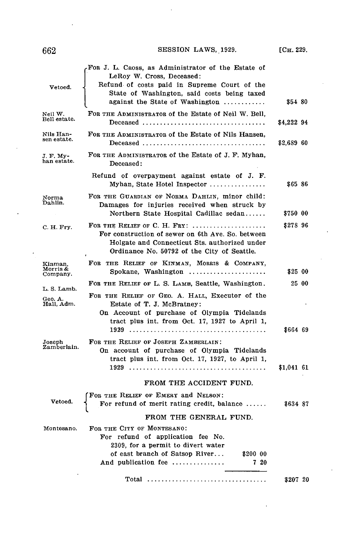$\ddot{\phantom{a}}$ 

| Vetoed.                         | For J. L. Cross, as Administrator of the Estate of<br>LeRoy W. Cross, Deceased:<br>Refund of costs paid in Supreme Court of the<br>State of Washington, said costs being taxed<br>against the State of Washington | \$54 80    |       |
|---------------------------------|-------------------------------------------------------------------------------------------------------------------------------------------------------------------------------------------------------------------|------------|-------|
| Neil W.<br>Bell estate.         | FOR THE ADMINISTRATOR of the Estate of Neil W. Bell,                                                                                                                                                              | \$4,222 94 |       |
| Nils Han-<br>sen estate.        | FOR THE ADMINISTRATOR of the Estate of Nils Hansen,<br>Deceased                                                                                                                                                   | \$2,689 60 |       |
| J. F. My-<br>han estate.        | FOR THE ADMINISTRATOR of the Estate of J. F. Myhan,<br>Deceased:                                                                                                                                                  |            |       |
|                                 | Refund of overpayment against estate of J. F.<br>Myhan, State Hotel Inspector                                                                                                                                     | \$6586     |       |
| Norma<br>Dahlin.                | FOR THE GUARDIAN OF NORMA DAHLIN, minor child:<br>Damages for injuries received when struck by<br>Northern State Hospital Cadillac sedan                                                                          | \$750 00   |       |
| C. H. Fry.                      | FOR THE RELIEF OF C. H. FRY:<br>For construction of sewer on 6th Ave. So. between<br>Holgate and Connecticut Sts. authorized under<br>Ordinance No. 50792 of the City of Seattle.                                 | \$278 96   |       |
| Kinman.<br>Morris &<br>Company. | FOR THE RELIEF OF KINMAN, MORRIS & COMPANY,<br>Spokane, Washington                                                                                                                                                | \$25 00    |       |
| L. S. Lamb.                     | FOR THE RELIEF OF L. S. LAMB, Seattle, Washington.                                                                                                                                                                |            | 25 00 |
| Geo. A.<br>Hall, Adm.           | FOR THE RELIEF OF GEO. A. HALL, Executor of the<br>Estate of T. J. McBratney:<br>On Account of purchase of Olympia Tidelands<br>tract plus int. from Oct. 17, 1927 to April 1,                                    | \$664 69   |       |
| Joseph<br>Zamberlain.           | FOR THE RELIEF OF JOSEPH ZAMBERLAIN:<br>On account of purchase of Olympia Tidelands<br>tract plus int. from Oct. 17, 1927, to April 1,                                                                            | \$1,041 61 |       |
|                                 | FROM THE ACCIDENT FUND.                                                                                                                                                                                           |            |       |
| Vetoed.                         | FOR THE RELIEF OF EMERY and NELSON:<br>For refund of merit rating credit, balance                                                                                                                                 | \$634 87   |       |
|                                 | FROM THE GENERAL FUND.                                                                                                                                                                                            |            |       |
| Montesano.                      | FOR THE CITY OF MONTESANO:<br>For refund of application fee No.<br>2309, for a permit to divert water<br>of east branch of Satsop River<br>\$200 00<br>7 20<br>And publication fee                                |            |       |
|                                 | Total                                                                                                                                                                                                             | \$207 20   |       |

l,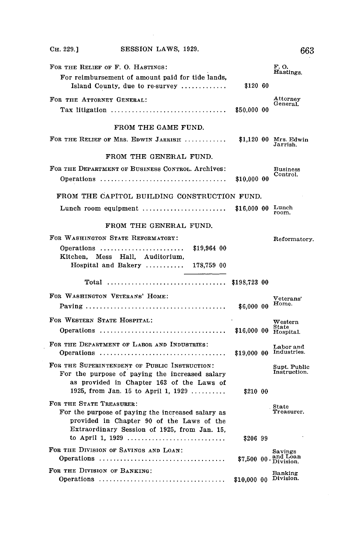| $C_{H.} 229.$ ]                       | SESSION LAWS, 1929.                                                                                                                                                                 |              | 663                                  |
|---------------------------------------|-------------------------------------------------------------------------------------------------------------------------------------------------------------------------------------|--------------|--------------------------------------|
| FOR THE RELIEF OF F. O. HASTINGS:     | For reimbursement of amount paid for tide lands,<br>Island County, due to re-survey                                                                                                 | \$120 60     | F. O.<br>Hastings.                   |
| FOR THE ATTORNEY GENERAL:             | Tax litigation                                                                                                                                                                      | \$50,000 00  | Attornev<br>General.                 |
|                                       | FROM THE GAME FUND.                                                                                                                                                                 |              |                                      |
|                                       | FOR THE RELIEF OF MRS. EDWIN JARRISH  \$1,120 00 Mrs. Edwin                                                                                                                         |              | Jarrish.                             |
|                                       | FROM THE GENERAL FUND.                                                                                                                                                              |              |                                      |
|                                       | FOR THE DEPARTMENT OF BUSINESS CONTROL. Archives:                                                                                                                                   | \$10,000 00  | <b>Business</b><br>Control.          |
|                                       | FROM THE CAPITOL BUILDING CONSTRUCTION FUND.                                                                                                                                        |              |                                      |
|                                       | Lunch room equipment $\ldots$ \$16,000 00 Lunch                                                                                                                                     |              | room.                                |
|                                       | FROM THE GENERAL FUND.                                                                                                                                                              |              |                                      |
| FOR WASHINGTON STATE REFORMATORY:     |                                                                                                                                                                                     |              | Reformatory.                         |
|                                       | Operations<br>\$19,964 00<br>Kitchen, Mess Hall, Auditorium,<br>Hospital and Bakery $178,759$ 00                                                                                    |              |                                      |
|                                       |                                                                                                                                                                                     |              |                                      |
| FOR WASHINGTON VETERANS' HOME:        |                                                                                                                                                                                     |              | $\rm{Veterans'}$                     |
|                                       |                                                                                                                                                                                     | \$6,000 00   | Home.                                |
| FOR WESTERN STATE HOSPITAL:           |                                                                                                                                                                                     |              | $\operatorname{Western}$             |
|                                       | FOR THE DEPARTMENT OF LABOR AND INDUSTRIES:                                                                                                                                         |              | Labor and<br>\$19,000 00 Industries. |
|                                       | FOR THE SUPERINTENDENT OF PUBLIC INSTRUCTION:<br>For the purpose of paying the increased salary<br>as provided in Chapter 163 of the Laws of<br>1925, from Jan. 15 to April 1, 1929 | \$210 00     | Supt. Public<br>Instruction.         |
| FOR THE STATE TREASURER:              | For the purpose of paying the increased salary as<br>provided in Chapter 90 of the Laws of the<br>Extraordinary Session of 1925, from Jan. 15,<br>to April 1, 1929                  | \$206 99     | State<br>Treasurer.                  |
| FOR THE DIVISION OF SAVINGS AND LOAN: |                                                                                                                                                                                     | $$7.50000$ . | Savings<br>and Loan<br>Division.     |
| FOR THE DIVISION OF BANKING:          |                                                                                                                                                                                     | \$10,000 00  | Banking<br>Division.                 |

 $\label{eq:2.1} \frac{1}{\sqrt{2}}\int_{\mathbb{R}^3}\frac{1}{\sqrt{2}}\left(\frac{1}{\sqrt{2}}\right)^2\frac{1}{\sqrt{2}}\left(\frac{1}{\sqrt{2}}\right)^2\frac{1}{\sqrt{2}}\left(\frac{1}{\sqrt{2}}\right)^2\frac{1}{\sqrt{2}}\left(\frac{1}{\sqrt{2}}\right)^2\frac{1}{\sqrt{2}}\left(\frac{1}{\sqrt{2}}\right)^2\frac{1}{\sqrt{2}}\frac{1}{\sqrt{2}}\frac{1}{\sqrt{2}}\frac{1}{\sqrt{2}}\frac{1}{\sqrt{2}}\frac{1}{\sqrt{2}}$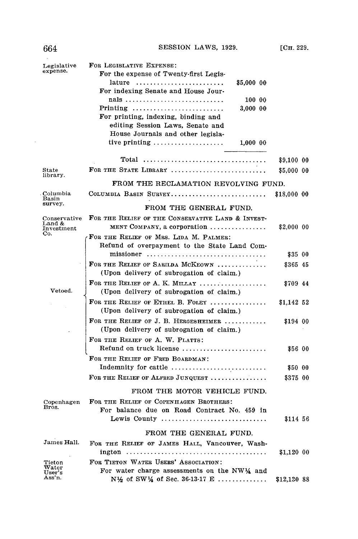| Legislative<br>expense.                         | FOR LEGISLATIVE EXPENSE:<br>For the expense of Twenty-first Legis-                                                                                                                           |                     |  |
|-------------------------------------------------|----------------------------------------------------------------------------------------------------------------------------------------------------------------------------------------------|---------------------|--|
|                                                 | lature $\ldots \ldots \ldots \ldots \ldots \ldots \ldots \ldots$<br>\$5,000 00<br>For indexing Senate and House Jour-                                                                        |                     |  |
|                                                 | nals<br>100 00                                                                                                                                                                               |                     |  |
|                                                 | $Pritting \dots \dots \dots \dots \dots \dots \dots \dots \dots$<br>3,000 00<br>For printing, indexing, binding and<br>editing Session Laws, Senate and<br>House Journals and other legisla- |                     |  |
|                                                 | tive printing $\ldots \ldots \ldots \ldots \ldots$<br>1.000 00                                                                                                                               |                     |  |
|                                                 |                                                                                                                                                                                              | \$9,100 00          |  |
| State<br>library.                               | FOR THE STATE LIBRARY                                                                                                                                                                        | \$5,000 00          |  |
|                                                 | FROM THE RECLAMATION REVOLVING FUND.                                                                                                                                                         |                     |  |
| . Columbia<br>Basin                             | COLUMBIA BASIN SURVEY                                                                                                                                                                        | \$18,000 00         |  |
| survey.                                         | FROM THE GENERAL FUND.                                                                                                                                                                       |                     |  |
| Conservative<br>Land &                          | FOR THE RELIEF OF THE CONSERVATIVE LAND & INVEST-                                                                                                                                            |                     |  |
| Investment<br>Co.                               | MENT COMPANY, a corporation $\ldots \ldots \ldots \ldots$                                                                                                                                    | \$2,000 00          |  |
|                                                 | FOR THE RELIEF OF MRS. LIDA M. PALMER:<br>Refund of overpayment to the State Land Com-                                                                                                       |                     |  |
|                                                 | missioner                                                                                                                                                                                    | \$35 00             |  |
|                                                 | FOR THE RELIEF OF SARILDA MCKEOWN                                                                                                                                                            | \$365 45            |  |
|                                                 | (Upon delivery of subrogation of claim.)                                                                                                                                                     |                     |  |
| Vetoed.                                         | FOR THE RELIEF OF A. K. MILLAY $\ldots, \ldots, \ldots, \ldots$<br>(Upon delivery of subrogation of claim.)                                                                                  | \$709 44            |  |
|                                                 | FOR THE RELIEF OF ETHEL B. FOLEY<br>(Upon delivery of subrogation of claim.)                                                                                                                 | \$1,142 52          |  |
|                                                 | FOR THE RELIEF OF J. B. HERGESHEIMER                                                                                                                                                         | \$194 00            |  |
|                                                 | (Upon delivery of subrogation of claim.)                                                                                                                                                     |                     |  |
|                                                 | FOR THE RELIEF OF A. W. PLATTS:                                                                                                                                                              |                     |  |
|                                                 | Refund on truck license                                                                                                                                                                      | \$56 00             |  |
|                                                 | FOR THE RELIEF OF FRED BOARDMAN:                                                                                                                                                             |                     |  |
|                                                 | Indemnity for cattle<br>FOR THE RELIEF OF ALFRED JUNQUEST                                                                                                                                    | \$50 00<br>\$375 00 |  |
|                                                 |                                                                                                                                                                                              |                     |  |
|                                                 | FROM THE MOTOR VEHICLE FUND.                                                                                                                                                                 |                     |  |
| Copenhagen<br>Bros.                             | FOR THE RELIEF OF COPENHAGEN BROTHERS:                                                                                                                                                       |                     |  |
|                                                 | For balance due on Road Contract No. 459 in<br>Lewis County                                                                                                                                  | \$114 56            |  |
|                                                 |                                                                                                                                                                                              |                     |  |
| James Hall.                                     | FROM THE GENERAL FUND.                                                                                                                                                                       |                     |  |
|                                                 | FOR THE RELIEF OF JAMES HALL, Vancouver, Wash-                                                                                                                                               | \$1,120 00          |  |
| Tieton                                          | FOR TIETON WATER USERS' ASSOCIATION:                                                                                                                                                         |                     |  |
| $\operatorname{\mathsf{water}}$<br>$\bf User's$ | For water charge assessments on the NW $\frac{1}{4}$ and                                                                                                                                     |                     |  |
| Ass'n.                                          | N <sup>1</sup> / <sub>2</sub> of SW <sup>1</sup> / <sub>4</sub> of Sec. 36-13-17 E                                                                                                           | \$12,130 88         |  |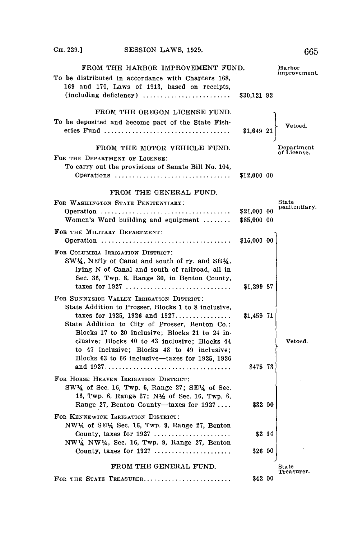$\mathcal{L}^{\text{max}}_{\text{max}}$ 

| FROM THE HARBOR IMPROVEMENT FUND.<br>To be distributed in accordance with Chapters 168,<br>169 and 170, Laws of 1913, based on receipts,                                                                                                                                                                                                |                            | Harbor<br>improvement.    |
|-----------------------------------------------------------------------------------------------------------------------------------------------------------------------------------------------------------------------------------------------------------------------------------------------------------------------------------------|----------------------------|---------------------------|
| (including deficiency)                                                                                                                                                                                                                                                                                                                  | \$30,121 92                |                           |
| FROM THE OREGON LICENSE FUND.<br>To be deposited and become part of the State Fish-                                                                                                                                                                                                                                                     | \$1,649 21                 | Vetoed.                   |
| FROM THE MOTOR VEHICLE FUND.                                                                                                                                                                                                                                                                                                            |                            | Department<br>of License. |
| FOR THE DEPARTMENT OF LICENSE:<br>To carry out the provisions of Senate Bill No. 104,<br>Operations                                                                                                                                                                                                                                     | \$12,000 00                |                           |
| FROM THE GENERAL FUND.                                                                                                                                                                                                                                                                                                                  |                            |                           |
| FOR WASHINGTON STATE PENITENTIARY:<br>Women's Ward building and equipment $\dots\dots$                                                                                                                                                                                                                                                  | \$21,000 00<br>\$85,000 00 | State<br>penitentiary.    |
| FOR THE MILITARY DEPARTMENT:                                                                                                                                                                                                                                                                                                            | \$15,000 00                |                           |
| FOR COLUMBIA IRRIGATION DISTRICT:<br>SW1/4, NE'ly of Canal and south of ry. and SE1/4,<br>lying N of Canal and south of railroad, all in<br>Sec. 36, Twp. 8, Range 30, in Benton County,<br>taxes for 1927                                                                                                                              | \$1,299 87                 |                           |
| FOR SUNNYSIDE VALLEY IRRIGATION DISTRICT:<br>State Addition to Prosser, Blocks 1 to 8 inclusive,<br>taxes for 1925, 1926 and $1927$<br>State Addition to City of Prosser, Benton Co.:<br>Blocks 17 to 20 inclusive; Blocks 21 to 24 in-<br>clusive; Blocks 40 to 43 inclusive; Blocks 44<br>to 47 inclusive; Blocks 48 to 49 inclusive; | \$1,459 71                 | Vetoed.                   |
| Blocks 63 to 66 inclusive-taxes for 1925, 1926                                                                                                                                                                                                                                                                                          | \$475 73                   |                           |
| FOR HORSE HEAVEN IRRIGATION DISTRICT:<br>$SW\frac{1}{4}$ of Sec. 16, Twp. 6, Range 27; SE $\frac{1}{4}$ of Sec.<br>16, Twp. 6, Range 27; N1/2 of Sec. 16, Twp. 6,<br>Range 27, Benton County-taxes for 1927                                                                                                                             | \$32 00                    |                           |
| FOR KENNEWICK IRRIGATION DISTRICT:<br>$NW\frac{1}{4}$ of SE $\frac{1}{4}$ Sec. 16, Twp. 9, Range 27, Benton<br>NW14 NW14, Sec. 16, Twp. 9, Range 27, Benton<br>County, taxes for 1927                                                                                                                                                   | \$2 14<br>\$26 00          |                           |
|                                                                                                                                                                                                                                                                                                                                         |                            |                           |
| FROM THE GENERAL FUND.<br>FOR THE STATE TREASURER                                                                                                                                                                                                                                                                                       | \$42 00                    | State<br>Treasurer.       |